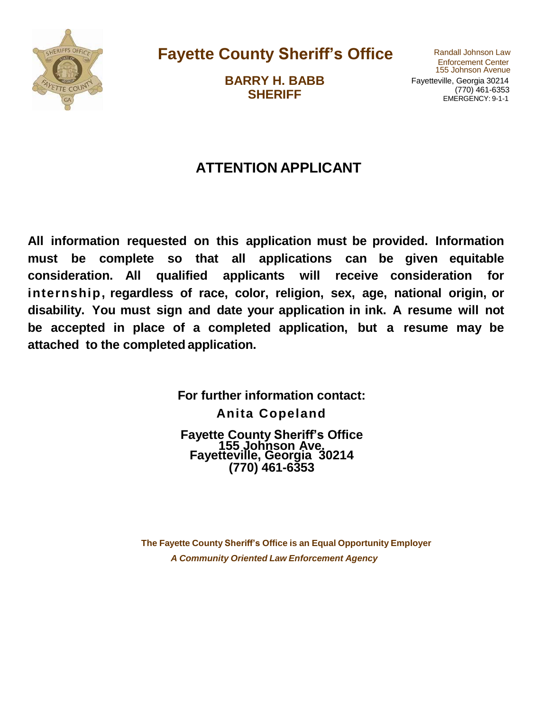

**Fayette County Sheriff's Office** Randall Johnson Law

**BARRY H. BABB SHERIFF**

155 Johnson Avenue Fayetteville, Georgia 30214 (770) 461-6353 EMERGENCY: 9-1-1

### **ATTENTION APPLICANT**

**All information requested on this application must be provided. Information must be complete so that all applications can be given equitable consideration. All qualified applicants will receive consideration for internship, regardless of race, color, religion, sex, age, national origin, or disability. You must sign and date your application in ink. A resume will not be accepted in place of a completed application, but a resume may be attached to the completed application.**

> **For further information contact: Anita Copeland Fayette County Sheriff's Office 155 Johnson Ave. Fayetteville, Georgia 30214 (770) 461-6353**

**The Fayette County Sheriff's Office is an Equal Opportunity Employer** *A Community Oriented Law Enforcement Agency*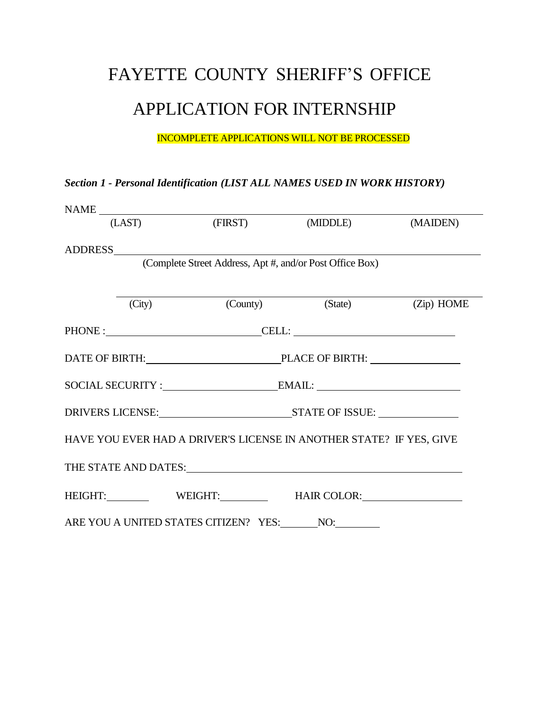# FAYETTE COUNTY SHERIFF'S OFFICE

## APPLICATION FOR INTERNSHIP

#### INCOMPLETE APPLICATIONS WILL NOT BE PROCESSED

#### *Section 1 - Personal Identification (LIST ALL NAMES USED IN WORK HISTORY)*

| $\begin{tabular}{c} \bf{NAME} \end{tabular}$ |                                                                     |                             |          |
|----------------------------------------------|---------------------------------------------------------------------|-----------------------------|----------|
|                                              | (LAST) (FIRST)                                                      | (MIDDLE)                    | (MAIDEN) |
| ADDRESS                                      |                                                                     |                             |          |
|                                              | (Complete Street Address, Apt #, and/or Post Office Box)            |                             |          |
|                                              |                                                                     |                             |          |
| (City)                                       |                                                                     | (County) (State) (Zip) HOME |          |
|                                              | PHONE : CELL: CELL:                                                 |                             |          |
|                                              | DATE OF BIRTH: PLACE OF BIRTH:                                      |                             |          |
|                                              |                                                                     |                             |          |
|                                              |                                                                     |                             |          |
|                                              | HAVE YOU EVER HAD A DRIVER'S LICENSE IN ANOTHER STATE? IF YES, GIVE |                             |          |
|                                              | THE STATE AND DATES: Universe of the STATE AND DATES:               |                             |          |
|                                              | HEIGHT: WEIGHT: WEIGHT: HAIR COLOR:                                 |                             |          |
|                                              |                                                                     |                             |          |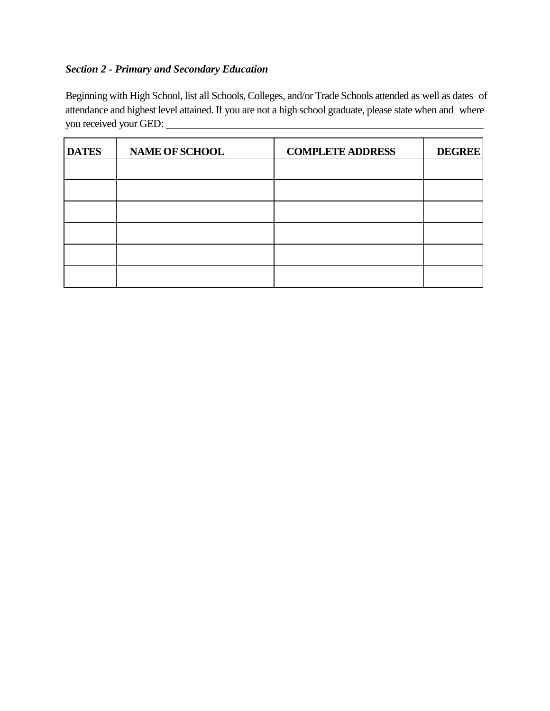#### *Section 2 - Primary and Secondary Education*

Beginning with High School, list all Schools, Colleges, and/or Trade Schools attended as well as dates of attendance and highest level attained. If you are not a high school graduate, please state when and where you received your GED:

| <b>DATES</b> | <b>NAME OF SCHOOL</b> | <b>COMPLETE ADDRESS</b> | <b>DEGREE</b> |
|--------------|-----------------------|-------------------------|---------------|
|              |                       |                         |               |
|              |                       |                         |               |
|              |                       |                         |               |
|              |                       |                         |               |
|              |                       |                         |               |
|              |                       |                         |               |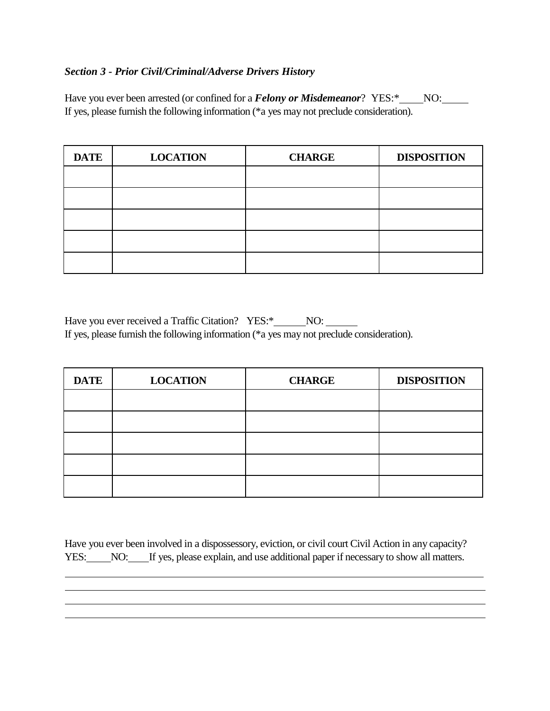#### *Section 3 - Prior Civil/Criminal/Adverse Drivers History*

Have you ever been arrested (or confined for a *Felony or Misdemeanor*? YES:\*\_\_\_\_NO:\_\_\_\_\_ If yes, please furnish the following information (\*a yes may not preclude consideration).

| <b>DATE</b> | <b>LOCATION</b> | <b>CHARGE</b> | <b>DISPOSITION</b> |
|-------------|-----------------|---------------|--------------------|
|             |                 |               |                    |
|             |                 |               |                    |
|             |                 |               |                    |
|             |                 |               |                    |
|             |                 |               |                    |

Have you ever received a Traffic Citation? YES:\*\_\_\_\_\_NO: \_\_\_\_\_\_ If yes, please furnish the following information (\*a yes may not preclude consideration).

| <b>DATE</b> | <b>LOCATION</b> | <b>CHARGE</b> | <b>DISPOSITION</b> |
|-------------|-----------------|---------------|--------------------|
|             |                 |               |                    |
|             |                 |               |                    |
|             |                 |               |                    |
|             |                 |               |                    |
|             |                 |               |                    |

Have you ever been involved in a dispossessory, eviction, or civil court Civil Action in any capacity? YES: NO: If yes, please explain, and use additional paper if necessary to show all matters.